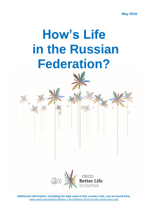**May 2016**

# **How's Life in the Russian Federation?**



**Additional information, including the data used in this country note, can be found here:**  [www.oecd.org/statistics/Better-Life-Initiative-2016-country-notes-data.xlsx](http://www.oecd.org/statistics/Better-Life-Initiative-2016-country-notes-data.xlsx)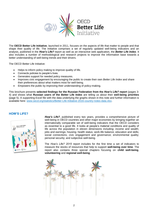

The **OECD Better Life Initiative**, launched in 2011, focuses on the aspects of life that matter to people and that shape their quality of life. The Initiative comprises a set of regularly updated well-being indicators and an analysis, published in the *How's Life?* report as well as an interactive web application, the *Better Life Index*. It also includes a number of methodological and research projects to improve the information base towards a better understanding of well-being trends and their drivers.

The OECD Better Life Initiative:

- Helps to inform policy making to improve quality of life.
- Connects policies to people's lives.
- Generates support for needed policy measures.
- Improves civic engagement by encouraging the public to create their own *Better Life Index* and share their preferences about what matters most for well-being.
- Empowers the public by improving their understanding of policy-making.

This brochure presents **selected findings for the Russian Federation from the** *How's Life?* **report** (pages 3- 4) and shows what **Russian users of the Better Life Index** are telling us about their **well-being priorities** (page 5). A supporting Excel file with the data underlying the graphs shown in this note and further information is available here: [www.oecd.org/statistics/Better-Life-Initiative-2016-country-notes-data.xlsx](http://www.oecd.org/statistics/Better-Life-Initiative-2016-country-notes-data.xlsx).

## **HOW'S LIFE?**



*How's Life?*, published every two years, provides a comprehensive picture of well-being in OECD countries and other major economies by bringing together an internationally comparable set of well-being indicators that the OECD considers as essential to a good life. It looks at people's material conditions and quality of life across the population in eleven dimensions including: income and wealth; jobs and earnings; housing; health status; work-life balance; education and skills; social connections; civic engagement and governance; environmental quality; personal security; and subjective well-being.

The *How's Life? 2015* report includes for the first time a set of indicators to measure the stocks of resources that help to support **well-being over time**. The report also contains three special chapters focusing on **child well-being**, **volunteering** and **regional well-being**.

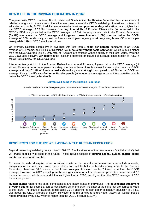# **HOW'S LIFE IN THE RUSSIAN FEDERATION IN 2016?**

Compared with OECD countries, Brazil, Latvia and South Africa, the Russian Federation has some areas of relative strength and some areas of relative weakness across the OECD well-being dimensions. In terms of education and skills, 94.7% of adults have attained at least an **upper secondary education**, much higher than the OECD average of 76.4%. However, the **cognitive skills** of Russian 15-year-olds (as assessed in the OECD's PISA study) are below the OECD average. In 2014, the employment rate in the Russian Federation (69.3%) was above the OECD average and **long-term unemployment** (1.5%) was well below the OECD average of 2.6%. Additionally, almost no Russian employees regularly **work very long hours** (50 or more per week), while 13% of OECD employees do so.

On average, Russian people live in dwellings with less than 1 **room per person**, compared to an OECD average of 1.8 rooms, and 14.4% of Russians live in **housing without basic sanitation**, which is much higher than the OECD average (2.1%). Only 49% of Russians are satisfied with the quality of their local water, while the OECD average is 81.1%. **Air quality** in the Russian Federation (measured as average concentration of PM2.5 in the air) is just below the OECD average.

Life expectancy at birth in the Russian Federation is around 71 years, 9 years below the OECD average (of almost 80 years). In terms of personal safety, the rate of **homicides** is almost 3 times higher than the OECD average and only 52.9% of Russians **feel safe** walking alone **at night**, compared to 68.3% in the OECD on average. Finally, the **life satisfaction** of Russian people (who report an average score of 6.0 on a 0-10 scale) is below the OECD average level (6.5).

### **Current well-being in the Russian Federation**





## **RESOURCES FOR FUTURE WELL-BEING IN THE RUSSIAN FEDERATION**

Beyond measuring well-being today*, How's Life? 2015* looks at some of the resources (or "capital stocks") that will shape people's well-being in the future. These include aspects of **natural capital**, **human capital**, **social capital** and **economic capital**.

For example, **natural capital** refers to critical assets in the natural environment and can include minerals, energy resources, land, soil, water, trees, plants and wildlife, but also broader ecosystems. In the Russian Federation, there are 56.5 square km of **forest area** per thousand people, 7 times more than the OECD average. However, in 2012 annual **greenhouse gas emissions** from domestic production were around 16 tonnes per person, which is around 2 tonnes higher than in 2000, and higher than the OECD average of 12.5 tonnes per person.

**Human capital** refers to the skills, competencies and health status of individuals. The **educational attainment of young adults**, for example, can be considered as an important indicator of the skills that are carried forward to the future. The share of Russian people aged 25-34 attaining at least upper secondary education is 94.4%, well above the OECD average of 83.6%. However, in terms of risks to future heath, 33.8% of Russian people report **smoking** every day, which is higher than the OECD average (18.8%).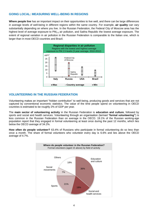# **GOING LOCAL: MEASURING WELL-BEING IN REGIONS**

**Where people live** has an important impact on their opportunities to live well, and there can be large differences in average levels of well-being in different regions within the same country. For example, **air quality** can vary substantially depending on where you live. In the Russian Federation, the Federal City of Moscow area has the highest level of average exposure to  $PM<sub>2.5</sub>$  air pollution, and Sakha Republic the lowest average exposure. The extent of regional variation in air pollution in the Russian Federation is comparable to the Italian one, which is larger than in most OECD countries and Brazil.



# **VOLUNTEERING IN THE RUSSIAN FEDERATION**

Volunteering makes an important "hidden contribution" to well-being, producing goods and services that are not captured by conventional economic statistics. The value of the time people spend on volunteering in OECD countries is estimated to be roughly 2% of GDP per year.

The **main sector of volunteering activity** in the Russian Federation is **education and culture**, followed by sports and social and health services. Volunteering through an organisation (termed "**formal volunteering"**) is less common in the Russian Federation than on average in the OECD. 19.1% of the Russian working-age population report that they engaged in formal volunteering at least once during the past 12 months, which lies below the OECD average of 34.2%.

**How often do people volunteer?** 63.4% of Russians who participate in formal volunteering do so less than once a month. The share of formal volunteers who volunteer every day is 6.6% and lies above the OECD average of 4.7%.

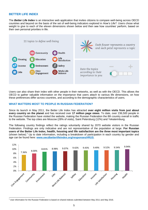# **BETTER LIFE INDEX**

The *Better Life Index* is an interactive web application that invites citizens to compare well-being across OECD countries and beyond on the basis of the set of well-being indicators explored in *How's Life?.* Users chose what weight to give to each of the eleven dimensions shown below and then see how countries' perform, based on their own personal priorities in life.



Users can also share their index with other people in their networks, as well as with the OECD. This allows the OECD to gather valuable information on the importance that users attach to various life dimensions, on how these preferences differ across countries, and according to the demographic characteristics of users.

## **WHAT MATTERS MOST TO PEOPLE IN RUSSIAN FEDERATION?**

Since its launch in May 2011, the Better Life Index has attracted **over eight million visits from just about every country on the planet** and has received over **17 million page views**. To date, over 236,500 people in the Russian Federation have visited the website, making the Russian Federation the 8th country overall in traffic to the website. The top cities are Moscow (28% of visits), Saint Petersburg (12%) and Yekaterinburg.

The following country findings reflect the ratings voluntarily shared by 2070 website visitors in the Russian Federation. Findings are only indicative and are not representative of the population at large. **For Russian users of the Better Life Index, health, housing and life satisfaction are the three most important topics**  (shown below).<sup>1</sup> Up to date information, including a breakdown of participation in each country by gender and age can be found here: **[www.oecdbetterlifeindex.org/responses/#RUS](http://www.oecdbetterlifeindex.org/responses/#RUS)**.



<sup>1</sup> <sup>1</sup> User information for the Russian Federation is based on shared indexes submitted between May 2011 and May 2016.